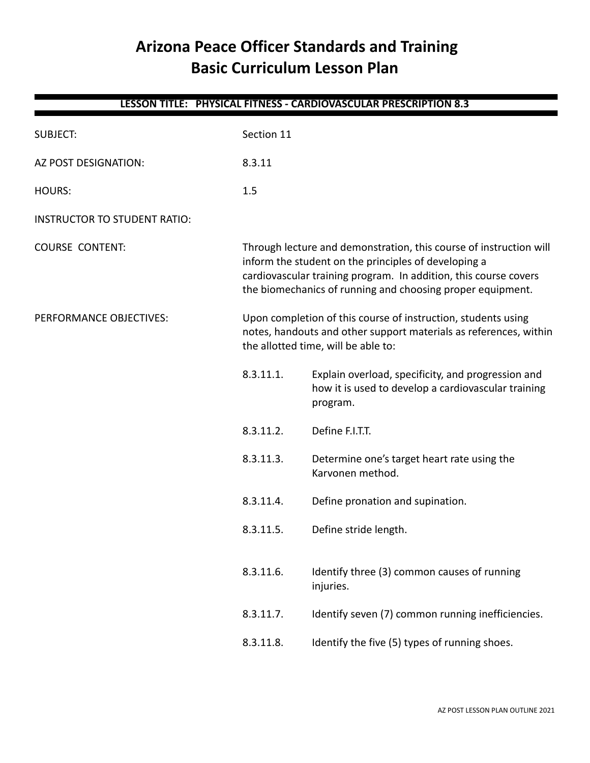# **Arizona Peace Officer Standards and Training Basic Curriculum Lesson Plan**

| LESSON TITLE: PHYSICAL FITNESS - CARDIOVASCULAR PRESCRIPTION 8.3 |                                                                                                                                                                                                                                                              |                                                                                                                       |  |
|------------------------------------------------------------------|--------------------------------------------------------------------------------------------------------------------------------------------------------------------------------------------------------------------------------------------------------------|-----------------------------------------------------------------------------------------------------------------------|--|
| <b>SUBJECT:</b>                                                  | Section 11                                                                                                                                                                                                                                                   |                                                                                                                       |  |
| AZ POST DESIGNATION:                                             | 8.3.11                                                                                                                                                                                                                                                       |                                                                                                                       |  |
| HOURS:                                                           | 1.5                                                                                                                                                                                                                                                          |                                                                                                                       |  |
| <b>INSTRUCTOR TO STUDENT RATIO:</b>                              |                                                                                                                                                                                                                                                              |                                                                                                                       |  |
| <b>COURSE CONTENT:</b>                                           | Through lecture and demonstration, this course of instruction will<br>inform the student on the principles of developing a<br>cardiovascular training program. In addition, this course covers<br>the biomechanics of running and choosing proper equipment. |                                                                                                                       |  |
| PERFORMANCE OBJECTIVES:                                          | Upon completion of this course of instruction, students using<br>notes, handouts and other support materials as references, within<br>the allotted time, will be able to:                                                                                    |                                                                                                                       |  |
|                                                                  | 8.3.11.1.                                                                                                                                                                                                                                                    | Explain overload, specificity, and progression and<br>how it is used to develop a cardiovascular training<br>program. |  |
|                                                                  | 8.3.11.2.                                                                                                                                                                                                                                                    | Define F.I.T.T.                                                                                                       |  |
|                                                                  | 8.3.11.3.                                                                                                                                                                                                                                                    | Determine one's target heart rate using the<br>Karvonen method.                                                       |  |
|                                                                  | 8.3.11.4.                                                                                                                                                                                                                                                    | Define pronation and supination.                                                                                      |  |
|                                                                  | 8.3.11.5.                                                                                                                                                                                                                                                    | Define stride length.                                                                                                 |  |
|                                                                  | 8.3.11.6.                                                                                                                                                                                                                                                    | Identify three (3) common causes of running<br>injuries.                                                              |  |
|                                                                  | 8.3.11.7.                                                                                                                                                                                                                                                    | Identify seven (7) common running inefficiencies.                                                                     |  |
|                                                                  | 8.3.11.8.                                                                                                                                                                                                                                                    | Identify the five (5) types of running shoes.                                                                         |  |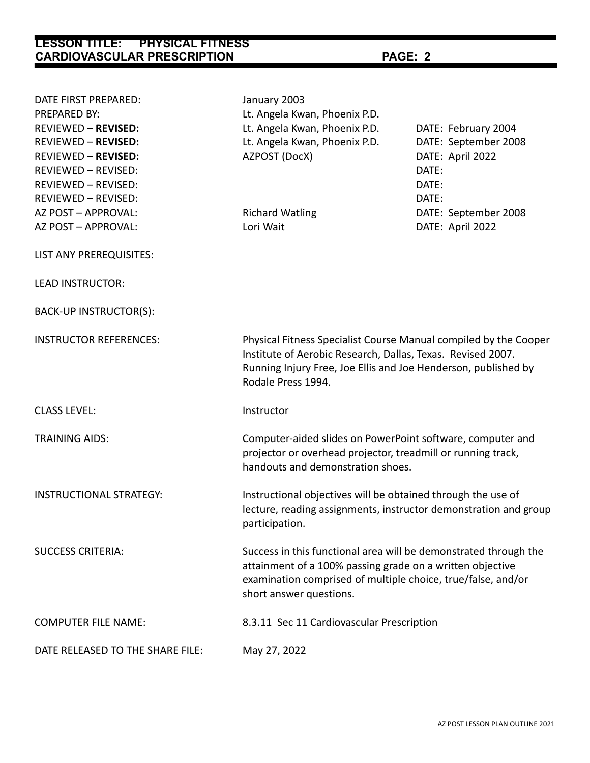| DATE FIRST PREPARED:                       | January 2003                                                                                                                                                                                                             |                                             |  |
|--------------------------------------------|--------------------------------------------------------------------------------------------------------------------------------------------------------------------------------------------------------------------------|---------------------------------------------|--|
| PREPARED BY:<br><b>REVIEWED - REVISED:</b> | Lt. Angela Kwan, Phoenix P.D.                                                                                                                                                                                            |                                             |  |
| <b>REVIEWED - REVISED:</b>                 | Lt. Angela Kwan, Phoenix P.D.<br>Lt. Angela Kwan, Phoenix P.D.                                                                                                                                                           | DATE: February 2004<br>DATE: September 2008 |  |
| <b>REVIEWED - REVISED:</b>                 | AZPOST (DocX)                                                                                                                                                                                                            | DATE: April 2022                            |  |
| <b>REVIEWED - REVISED:</b>                 |                                                                                                                                                                                                                          | DATE:                                       |  |
| REVIEWED - REVISED:                        |                                                                                                                                                                                                                          | DATE:                                       |  |
| <b>REVIEWED - REVISED:</b>                 |                                                                                                                                                                                                                          | DATE:                                       |  |
| AZ POST - APPROVAL:                        | <b>Richard Watling</b>                                                                                                                                                                                                   | DATE: September 2008                        |  |
| AZ POST - APPROVAL:                        | Lori Wait                                                                                                                                                                                                                | DATE: April 2022                            |  |
| LIST ANY PREREQUISITES:                    |                                                                                                                                                                                                                          |                                             |  |
| <b>LEAD INSTRUCTOR:</b>                    |                                                                                                                                                                                                                          |                                             |  |
| BACK-UP INSTRUCTOR(S):                     |                                                                                                                                                                                                                          |                                             |  |
| <b>INSTRUCTOR REFERENCES:</b>              | Physical Fitness Specialist Course Manual compiled by the Cooper<br>Institute of Aerobic Research, Dallas, Texas. Revised 2007.<br>Running Injury Free, Joe Ellis and Joe Henderson, published by<br>Rodale Press 1994.  |                                             |  |
| <b>CLASS LEVEL:</b>                        | Instructor                                                                                                                                                                                                               |                                             |  |
| <b>TRAINING AIDS:</b>                      | Computer-aided slides on PowerPoint software, computer and<br>projector or overhead projector, treadmill or running track,<br>handouts and demonstration shoes.                                                          |                                             |  |
| <b>INSTRUCTIONAL STRATEGY:</b>             | Instructional objectives will be obtained through the use of<br>lecture, reading assignments, instructor demonstration and group<br>participation.                                                                       |                                             |  |
| <b>SUCCESS CRITERIA:</b>                   | Success in this functional area will be demonstrated through the<br>attainment of a 100% passing grade on a written objective<br>examination comprised of multiple choice, true/false, and/or<br>short answer questions. |                                             |  |
| <b>COMPUTER FILE NAME:</b>                 | 8.3.11 Sec 11 Cardiovascular Prescription                                                                                                                                                                                |                                             |  |
| DATE RELEASED TO THE SHARE FILE:           | May 27, 2022                                                                                                                                                                                                             |                                             |  |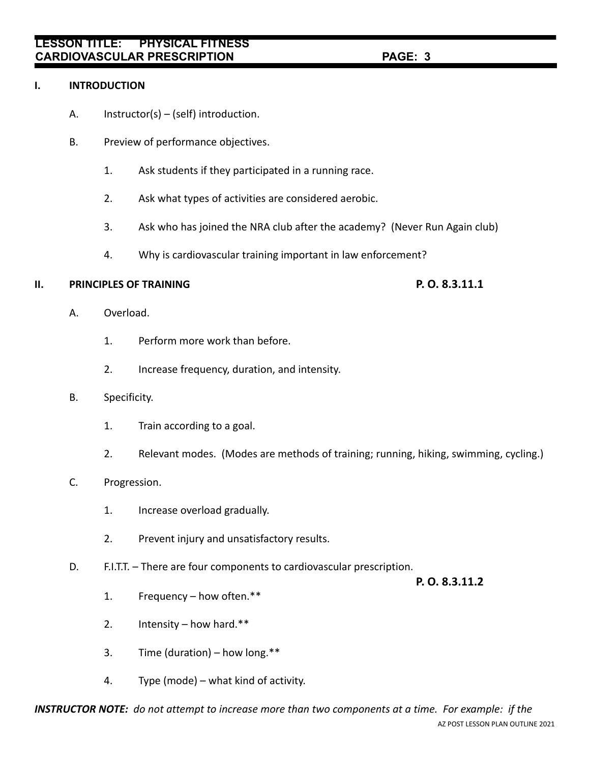### **I. INTRODUCTION**

- A. Instructor(s) (self) introduction.
- B. Preview of performance objectives.
	- 1. Ask students if they participated in a running race.
	- 2. Ask what types of activities are considered aerobic.
	- 3. Ask who has joined the NRA club after the academy? (Never Run Again club)
	- 4. Why is cardiovascular training important in law enforcement?

#### **II. PRINCIPLES OF TRAINING P. O. 8.3.11.1**

- A. Overload.
	- 1. Perform more work than before.
	- 2. Increase frequency, duration, and intensity.
- B. Specificity.
	- 1. Train according to a goal.
	- 2. Relevant modes. (Modes are methods of training; running, hiking, swimming, cycling.)

### C. Progression.

- 1. Increase overload gradually.
- 2. Prevent injury and unsatisfactory results.
- D. F.I.T.T. There are four components to cardiovascular prescription.

**P. O. 8.3.11.2**

- 1. Frequency how often.\*\*
- 2. Intensity how hard.\*\*
- 3. Time (duration) how long. $**$
- 4. Type (mode) what kind of activity.

*INSTRUCTOR NOTE: do not attempt to increase more than two components at a time. For example: if the* AZ POST LESSON PLAN OUTLINE 2021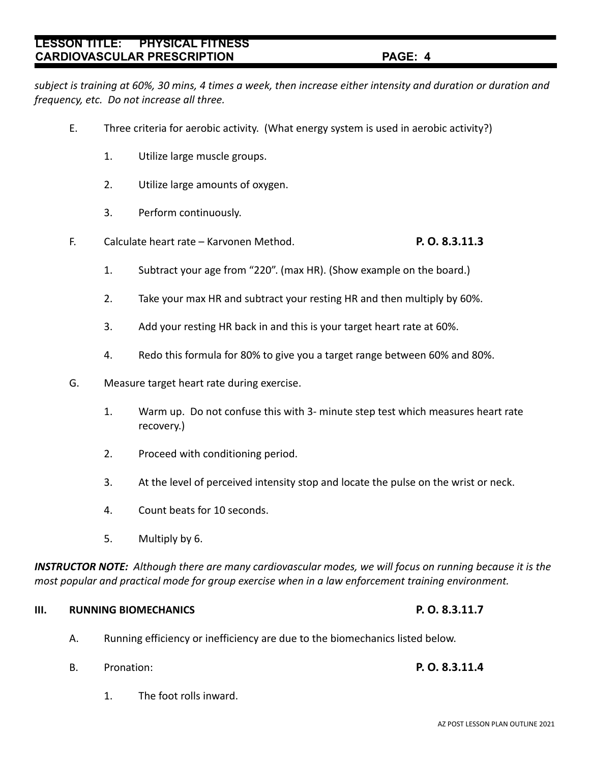*subject is training at 60%, 30 mins, 4 times a week, then increase either intensity and duration or duration and frequency, etc. Do not increase all three.*

- E. Three criteria for aerobic activity. (What energy system is used in aerobic activity?)
	- 1. Utilize large muscle groups.
	- 2. Utilize large amounts of oxygen.
	- 3. Perform continuously.
- F. Calculate heart rate Karvonen Method. **P. O. 8.3.11.3**
	- 1. Subtract your age from "220". (max HR). (Show example on the board.)
	- 2. Take your max HR and subtract your resting HR and then multiply by 60%.
	- 3. Add your resting HR back in and this is your target heart rate at 60%.
	- 4. Redo this formula for 80% to give you a target range between 60% and 80%.
- G. Measure target heart rate during exercise.
	- 1. Warm up. Do not confuse this with 3- minute step test which measures heart rate recovery.)
	- 2. Proceed with conditioning period.
	- 3. At the level of perceived intensity stop and locate the pulse on the wrist or neck.
	- 4. Count beats for 10 seconds.
	- 5. Multiply by 6.

*INSTRUCTOR NOTE: Although there are many cardiovascular modes, we will focus on running because it is the most popular and practical mode for group exercise when in a law enforcement training environment.*

# **III. RUNNING BIOMECHANICS P. O. 8.3.11.7**

- A. Running efficiency or inefficiency are due to the biomechanics listed below.
- B. Pronation: **P. O. 8.3.11.4**
	- 1. The foot rolls inward.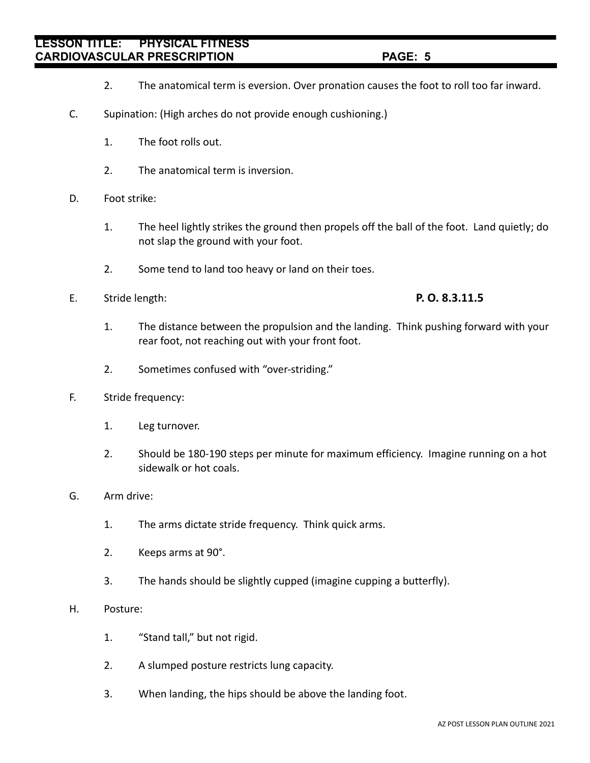- 2. The anatomical term is eversion. Over pronation causes the foot to roll too far inward.
- C. Supination: (High arches do not provide enough cushioning.)
	- 1. The foot rolls out.
	- 2. The anatomical term is inversion.
- D. Foot strike:
	- 1. The heel lightly strikes the ground then propels off the ball of the foot. Land quietly; do not slap the ground with your foot.
	- 2. Some tend to land too heavy or land on their toes.
- E. Stride length: **P. O. 8.3.11.5**

- 1. The distance between the propulsion and the landing. Think pushing forward with your rear foot, not reaching out with your front foot.
- 2. Sometimes confused with "over-striding."
- F. Stride frequency:
	- 1. Leg turnover.
	- 2. Should be 180-190 steps per minute for maximum efficiency. Imagine running on a hot sidewalk or hot coals.
- G. Arm drive:
	- 1. The arms dictate stride frequency. Think quick arms.
	- 2. Keeps arms at 90°.
	- 3. The hands should be slightly cupped (imagine cupping a butterfly).

### H. Posture:

- 1. "Stand tall," but not rigid.
- 2. A slumped posture restricts lung capacity.
- 3. When landing, the hips should be above the landing foot.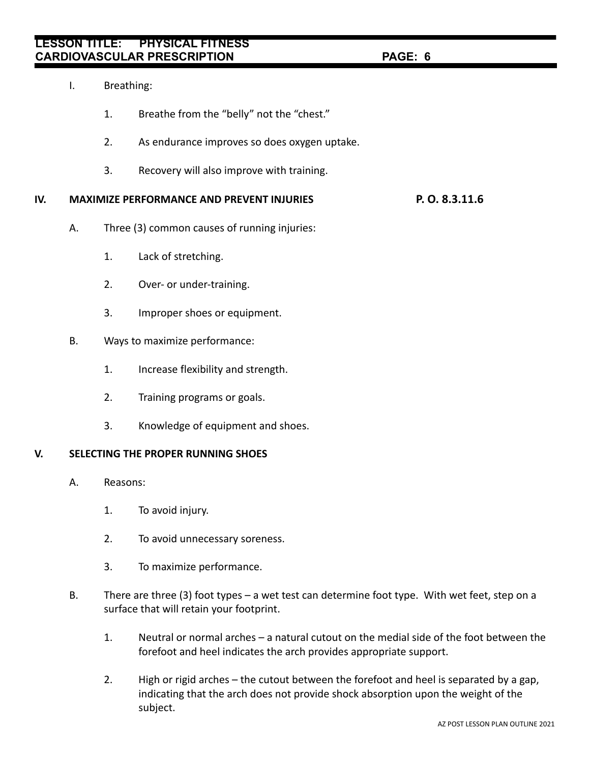- I. Breathing:
	- 1. Breathe from the "belly" not the "chest."
	- 2. As endurance improves so does oxygen uptake.
	- 3. Recovery will also improve with training.

# **IV. MAXIMIZE PERFORMANCE AND PREVENT INJURIES P. O. 8.3.11.6**

- A. Three (3) common causes of running injuries:
	- 1. Lack of stretching.
	- 2. Over- or under-training.
	- 3. Improper shoes or equipment.
- B. Ways to maximize performance:
	- 1. Increase flexibility and strength.
	- 2. Training programs or goals.
	- 3. Knowledge of equipment and shoes.

### **V. SELECTING THE PROPER RUNNING SHOES**

- A. Reasons:
	- 1. To avoid injury.
	- 2. To avoid unnecessary soreness.
	- 3. To maximize performance.
- B. There are three (3) foot types a wet test can determine foot type. With wet feet, step on a surface that will retain your footprint.
	- 1. Neutral or normal arches a natural cutout on the medial side of the foot between the forefoot and heel indicates the arch provides appropriate support.
	- 2. High or rigid arches the cutout between the forefoot and heel is separated by a gap, indicating that the arch does not provide shock absorption upon the weight of the subject.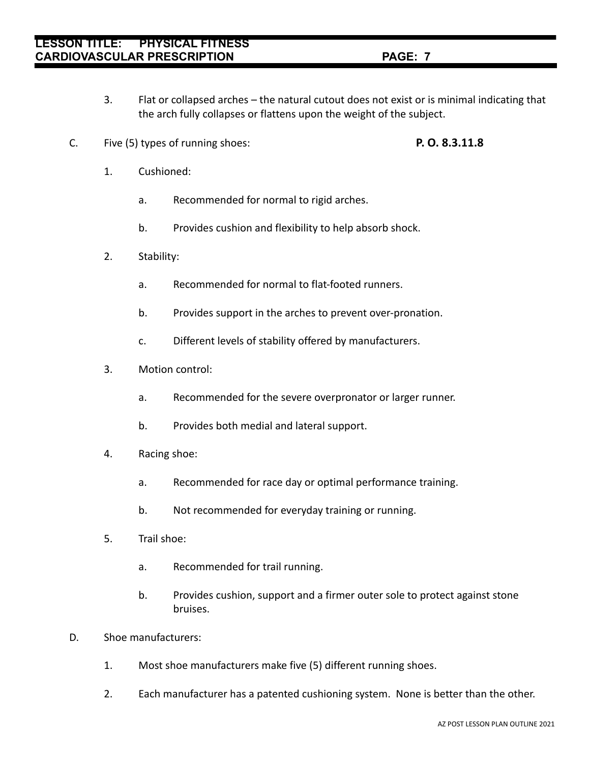- 3. Flat or collapsed arches the natural cutout does not exist or is minimal indicating that the arch fully collapses or flattens upon the weight of the subject.
- C. Five (5) types of running shoes: **P. O. 8.3.11.8**
	-

- 1. Cushioned:
	- a. Recommended for normal to rigid arches.
	- b. Provides cushion and flexibility to help absorb shock.
- 2. Stability:
	- a. Recommended for normal to flat-footed runners.
	- b. Provides support in the arches to prevent over-pronation.
	- c. Different levels of stability offered by manufacturers.
- 3. Motion control:
	- a. Recommended for the severe overpronator or larger runner.
	- b. Provides both medial and lateral support.
- 4. Racing shoe:
	- a. Recommended for race day or optimal performance training.
	- b. Not recommended for everyday training or running.
- 5. Trail shoe:
	- a. Recommended for trail running.
	- b. Provides cushion, support and a firmer outer sole to protect against stone bruises.
- D. Shoe manufacturers:
	- 1. Most shoe manufacturers make five (5) different running shoes.
	- 2. Each manufacturer has a patented cushioning system. None is better than the other.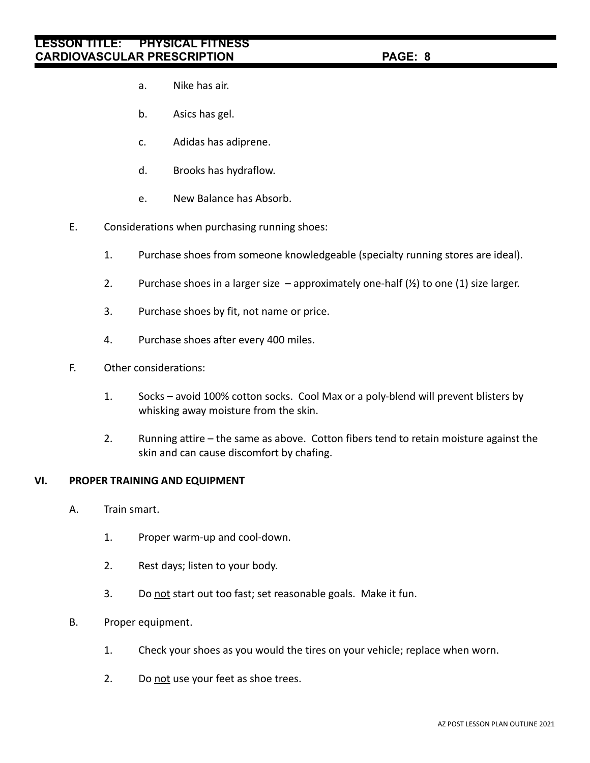- a. Nike has air.
- b. Asics has gel.
- c. Adidas has adiprene.
- d. Brooks has hydraflow.
- e. New Balance has Absorb.
- E. Considerations when purchasing running shoes:
	- 1. Purchase shoes from someone knowledgeable (specialty running stores are ideal).
	- 2. Purchase shoes in a larger size  $-$  approximately one-half  $(\frac{1}{2})$  to one (1) size larger.
	- 3. Purchase shoes by fit, not name or price.
	- 4. Purchase shoes after every 400 miles.
- F. Other considerations:
	- 1. Socks avoid 100% cotton socks. Cool Max or a poly-blend will prevent blisters by whisking away moisture from the skin.
	- 2. Running attire the same as above. Cotton fibers tend to retain moisture against the skin and can cause discomfort by chafing.

### **VI. PROPER TRAINING AND EQUIPMENT**

- A. Train smart.
	- 1. Proper warm-up and cool-down.
	- 2. Rest days; listen to your body.
	- 3. Do not start out too fast; set reasonable goals. Make it fun.
- B. Proper equipment.
	- 1. Check your shoes as you would the tires on your vehicle; replace when worn.
	- 2. Do not use your feet as shoe trees.